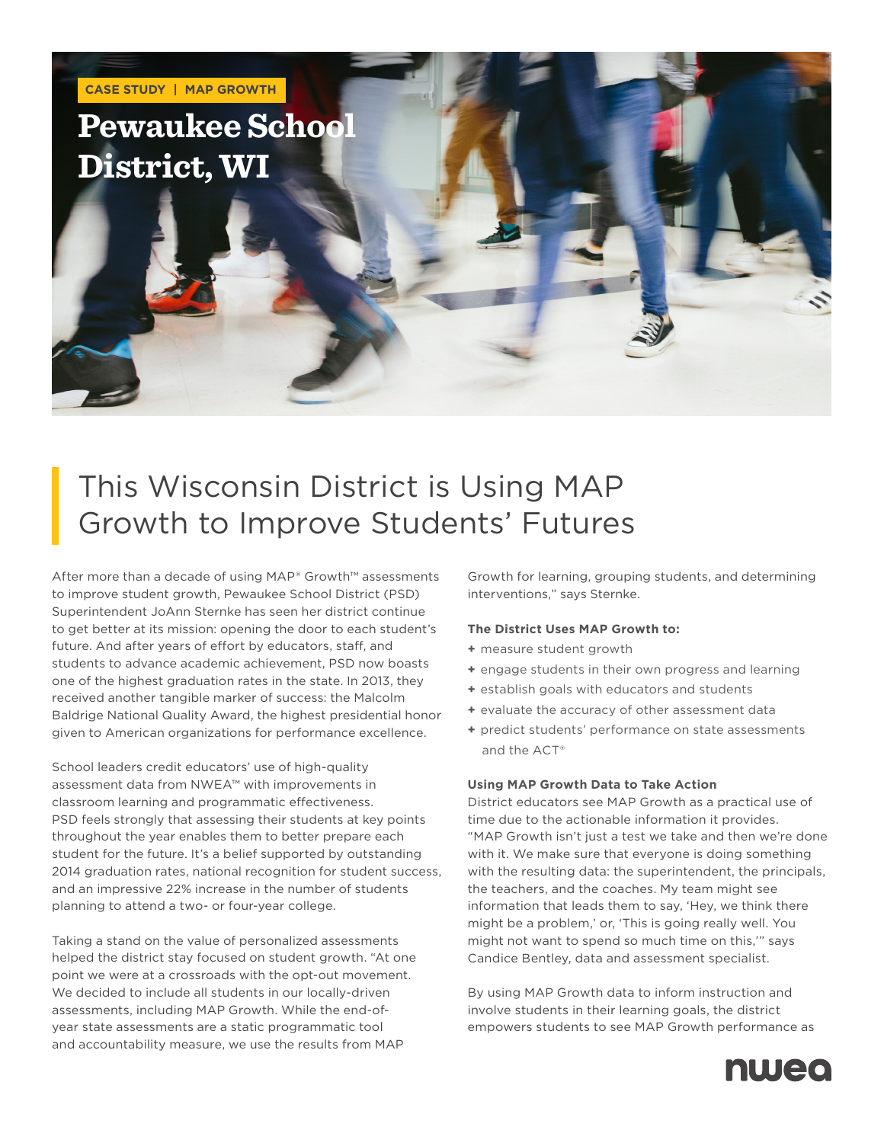

## This Wisconsin District is Using MAP Growth to Improve Students' Futures

After more than a decade of using MAP® Growth™ assessments to improve student growth, Pewaukee School District (PSD) Superintendent JoAnn Sternke has seen her district continue to get better at its mission: opening the door to each student's future. And after years of effort by educators, staff, and students to advance academic achievement, PSD now boasts one of the highest graduation rates in the state. In 2013, they received another tangible marker of success: the Malcolm Baldrige National Quality Award, the highest presidential honor given to American organizations for performance excellence.

School leaders credit educators' use of high-quality assessment data from NWEA™ with improvements in classroom learning and programmatic effectiveness. PSD feels strongly that assessing their students at key points throughout the year enables them to better prepare each student for the future. It's a belief supported by outstanding 2014 graduation rates, national recognition for student success, and an impressive 22% increase in the number of students planning to attend a two- or four-year college.

Taking a stand on the value of personalized assessments helped the district stay focused on student growth. "At one point we were at a crossroads with the opt-out movement. We decided to include all students in our locally-driven assessments, including MAP Growth. While the end-ofyear state assessments are a static programmatic tool and accountability measure, we use the results from MAP

Growth for learning, grouping students, and determining interventions," says Sternke.

## **The District Uses MAP Growth to:**

- **+** measure student growth
- **+** engage students in their own progress and learning
- **+** establish goals with educators and students
- **+** evaluate the accuracy of other assessment data
- **+** predict students' performance on state assessments and the ACT®

## **Using MAP Growth Data to Take Action**

District educators see MAP Growth as a practical use of time due to the actionable information it provides. "MAP Growth isn't just a test we take and then we're done with it. We make sure that everyone is doing something with the resulting data: the superintendent, the principals, the teachers, and the coaches. My team might see information that leads them to say, 'Hey, we think there might be a problem,' or, 'This is going really well. You might not want to spend so much time on this,'" says Candice Bentley, data and assessment specialist.

By using MAP Growth data to inform instruction and involve students in their learning goals, the district empowers students to see MAP Growth performance as